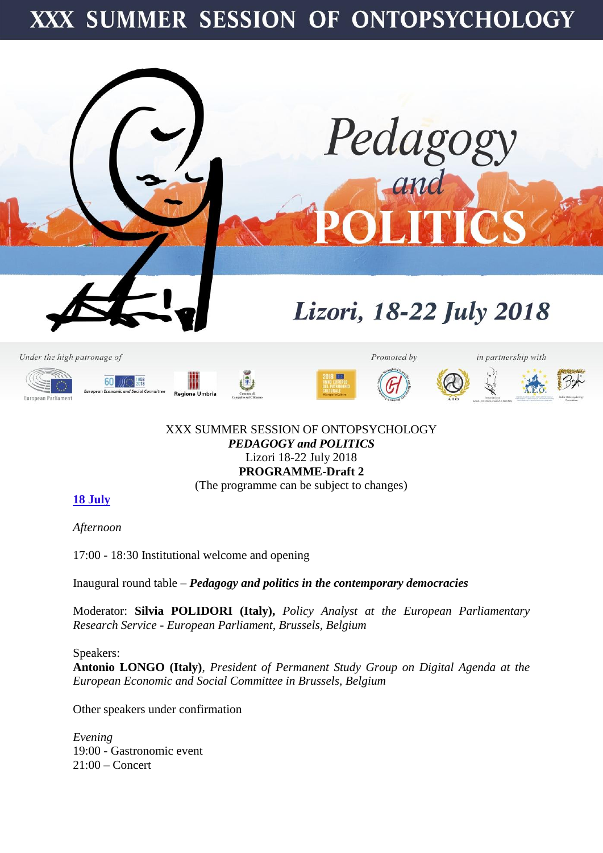# XXX SUMMER SESSION OF ONTOPSYCHOLOGY



#### XXX SUMMER SESSION OF ONTOPSYCHOLOGY *PEDAGOGY and POLITICS* Lizori 18-22 July 2018 **PROGRAMME-Draft 2** (The programme can be subject to changes)

## **18 July**

*Afternoon*

17:00 - 18:30 Institutional welcome and opening

Inaugural round table – *Pedagogy and politics in the contemporary democracies*

Moderator: **Silvia POLIDORI (Italy),** *Policy Analyst at the European Parliamentary Research Service - European Parliament, Brussels, Belgium*

Speakers: **Antonio LONGO (Italy)**, *President of Permanent Study Group on Digital Agenda at the European Economic and Social Committee in Brussels, Belgium*

Other speakers under confirmation

*Evening* 19:00 - Gastronomic event 21:00 – Concert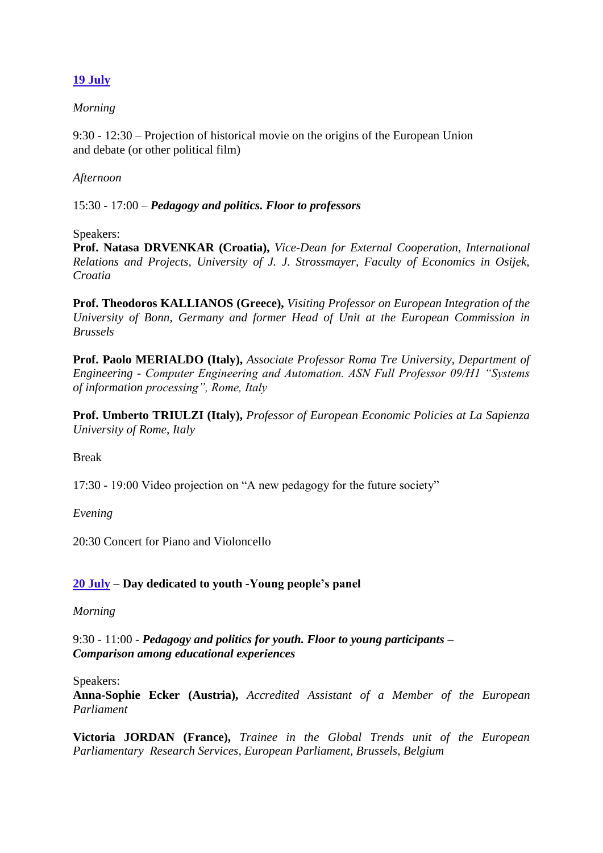# **19 July**

## *Morning*

9:30 - 12:30 – Projection of historical movie on the origins of the European Union and debate (or other political film)

## *Afternoon*

15:30 - 17:00 – *Pedagogy and politics. Floor to professors*

#### Speakers:

**Prof. Natasa DRVENKAR (Croatia),** *Vice-Dean for External Cooperation, International Relations and Projects, University of J. J. Strossmayer, Faculty of Economics in Osijek, Croatia*

**Prof. Theodoros KALLIANOS (Greece),** *Visiting Professor on European Integration of the University of Bonn, Germany and former Head of Unit at the European Commission in Brussels*

**Prof. Paolo MERIALDO (Italy),** *Associate Professor Roma Tre University, Department of Engineering - Computer Engineering and Automation. ASN Full Professor 09/H1 "Systems of information processing", Rome, Italy*

**Prof. Umberto TRIULZI (Italy),** *Professor of European Economic Policies at La Sapienza University of Rome, Italy*

#### Break

17:30 - 19:00 Video projection on "A new pedagogy for the future society"

*Evening*

20:30 Concert for Piano and Violoncello

## **20 July – Day dedicated to youth -Young people's panel**

#### *Morning*

9:30 - 11:00 - *Pedagogy and politics for youth. Floor to young participants – Comparison among educational experiences*

Speakers:

**Anna-Sophie Ecker (Austria),** *Accredited Assistant of a Member of the European Parliament*

**Victoria JORDAN (France),** *Trainee in the Global Trends unit of the European Parliamentary Research Services, European Parliament, Brussels, Belgium*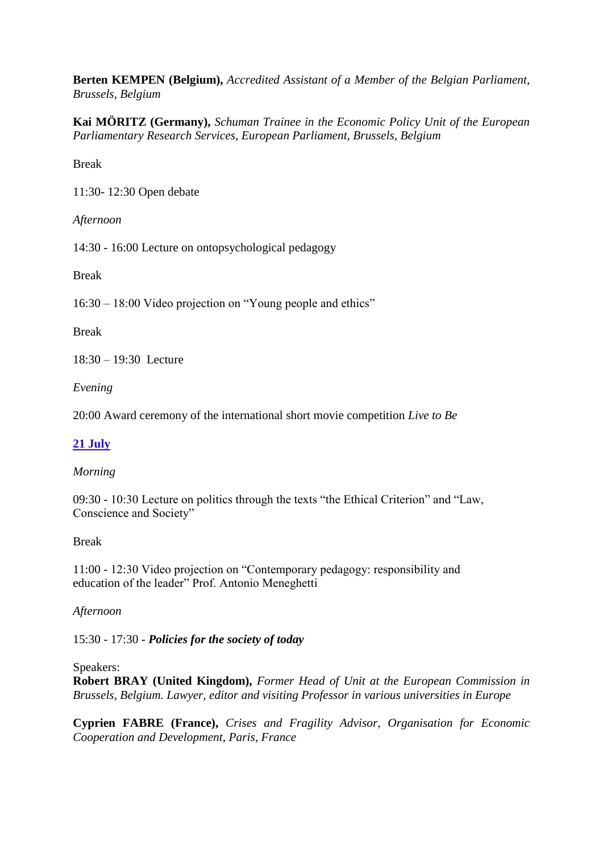**Berten KEMPEN (Belgium),** *Accredited Assistant of a Member of the Belgian Parliament, Brussels, Belgium*

**Kai MÖRITZ (Germany),** *Schuman Trainee in the Economic Policy Unit of the European Parliamentary Research Services, European Parliament, Brussels, Belgium*

Break

11:30- 12:30 Open debate

*Afternoon*

14:30 - 16:00 Lecture on ontopsychological pedagogy

Break

16:30 – 18:00 Video projection on "Young people and ethics"

Break

18:30 – 19:30 Lecture

*Evening*

20:00 Award ceremony of the international short movie competition *Live to Be*

## **21 July**

## *Morning*

09:30 - 10:30 Lecture on politics through the texts "the Ethical Criterion" and "Law, Conscience and Society"

#### Break

11:00 - 12:30 Video projection on "Contemporary pedagogy: responsibility and education of the leader" Prof. Antonio Meneghetti

## *Afternoon*

15:30 - 17:30 - *Policies for the society of today*

#### Speakers:

**Robert BRAY (United Kingdom),** *Former Head of Unit at the European Commission in Brussels, Belgium. Lawyer, editor and visiting Professor in various universities in Europe*

**Cyprien FABRE (France),** *Crises and Fragility Advisor, Organisation for Economic Cooperation and Development, Paris, France*